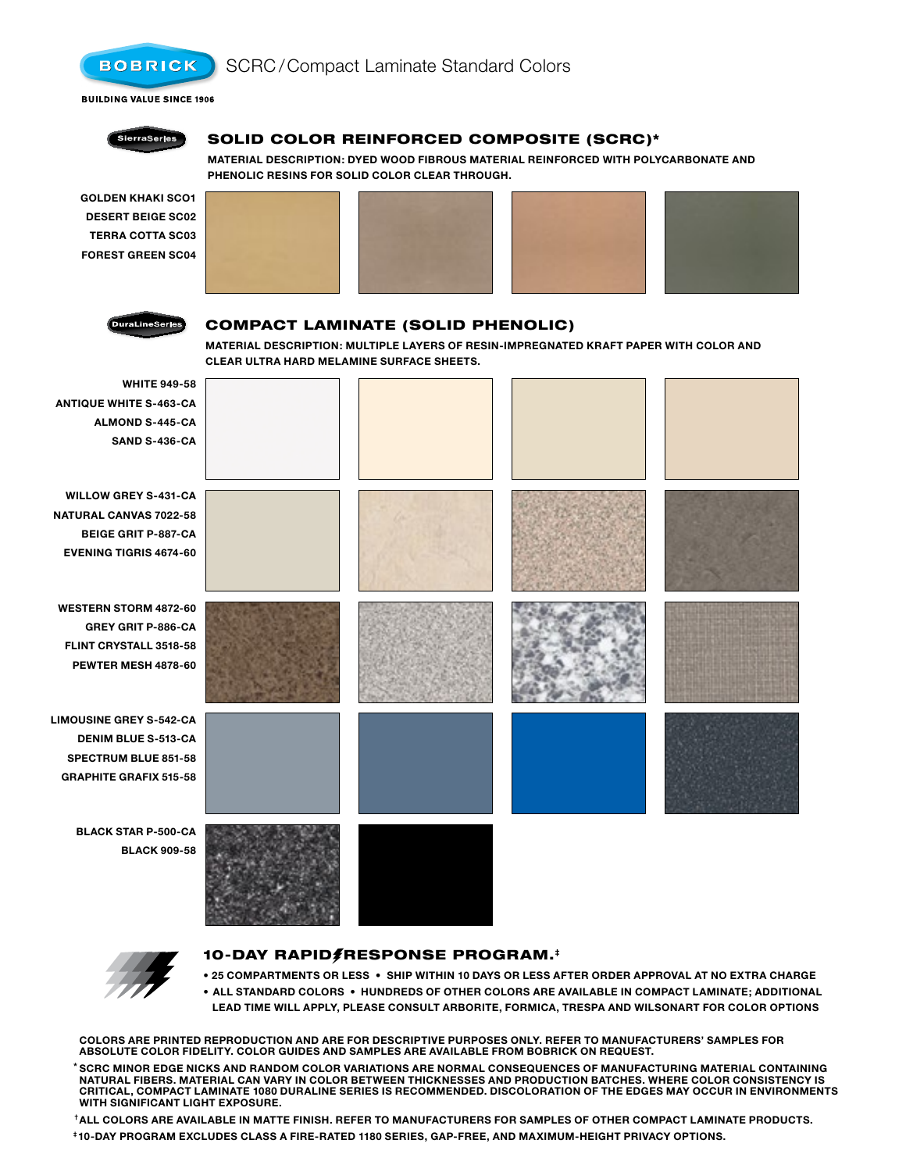

# Compact Laminate (Solid Phenolic)

**Material Description: Multiple layers of resin-impregnated kraft paper with color and clear ultra hard melamine surface sheets.**